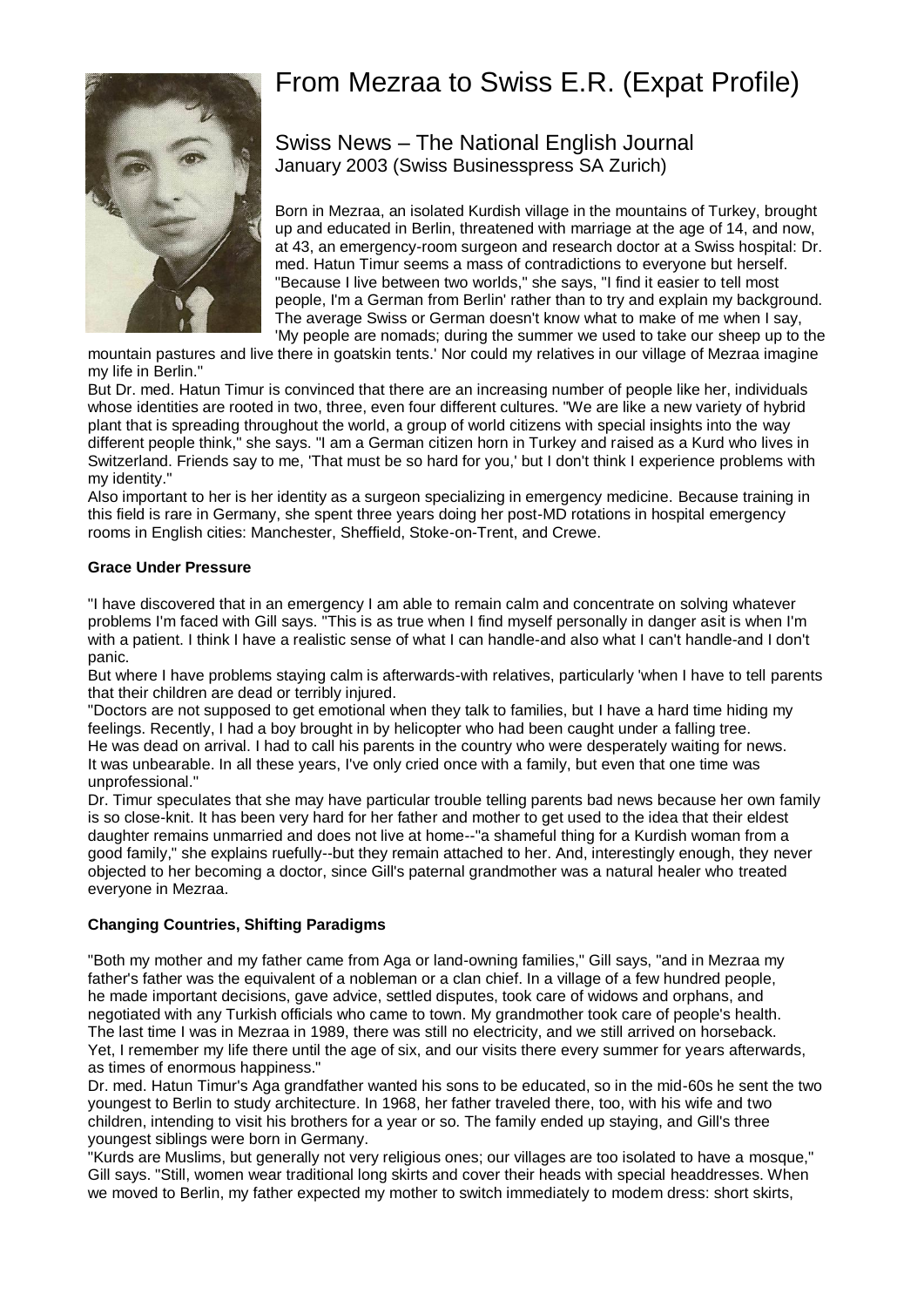# From Mezraa to Swiss E.R. (Expat Profile)



Swiss News – The National English Journal January 2003 (Swiss Businesspress SA Zurich)

Born in Mezraa, an isolated Kurdish village in the mountains of Turkey, brought up and educated in Berlin, threatened with marriage at the age of 14, and now, at 43, an emergency-room surgeon and research doctor at a Swiss hospital: Dr. med. Hatun Timur seems a mass of contradictions to everyone but herself. "Because I live between two worlds," she says, "I find it easier to tell most people, I'm a German from Berlin' rather than to try and explain my background. The average Swiss or German doesn't know what to make of me when I say, 'My people are nomads; during the summer we used to take our sheep up to the

mountain pastures and live there in goatskin tents.' Nor could my relatives in our village of Mezraa imagine my life in Berlin."

But Dr. med. Hatun Timur is convinced that there are an increasing number of people like her, individuals whose identities are rooted in two, three, even four different cultures. "We are like a new variety of hybrid plant that is spreading throughout the world, a group of world citizens with special insights into the way different people think," she says. "I am a German citizen horn in Turkey and raised as a Kurd who lives in Switzerland. Friends say to me, 'That must be so hard for you,' but I don't think I experience problems with my identity."

Also important to her is her identity as a surgeon specializing in emergency medicine. Because training in this field is rare in Germany, she spent three years doing her post-MD rotations in hospital emergency rooms in English cities: Manchester, Sheffield, Stoke-on-Trent, and Crewe.

#### **Grace Under Pressure**

"I have discovered that in an emergency I am able to remain calm and concentrate on solving whatever problems I'm faced with Gill says. "This is as true when I find myself personally in danger asit is when I'm with a patient. I think I have a realistic sense of what I can handle-and also what I can't handle-and I don't panic.

But where I have problems staying calm is afterwards-with relatives, particularly 'when I have to tell parents that their children are dead or terribly injured.

"Doctors are not supposed to get emotional when they talk to families, but I have a hard time hiding my feelings. Recently, I had a boy brought in by helicopter who had been caught under a falling tree. He was dead on arrival. I had to call his parents in the country who were desperately waiting for news. It was unbearable. In all these years, I've only cried once with a family, but even that one time was unprofessional."

Dr. Timur speculates that she may have particular trouble telling parents bad news because her own family is so close-knit. It has been very hard for her father and mother to get used to the idea that their eldest daughter remains unmarried and does not live at home--"a shameful thing for a Kurdish woman from a good family," she explains ruefully--but they remain attached to her. And, interestingly enough, they never objected to her becoming a doctor, since Gill's paternal grandmother was a natural healer who treated everyone in Mezraa.

### **Changing Countries, Shifting Paradigms**

"Both my mother and my father came from Aga or land-owning families," Gill says, "and in Mezraa my father's father was the equivalent of a nobleman or a clan chief. In a village of a few hundred people, he made important decisions, gave advice, settled disputes, took care of widows and orphans, and negotiated with any Turkish officials who came to town. My grandmother took care of people's health. The last time I was in Mezraa in 1989, there was still no electricity, and we still arrived on horseback. Yet, I remember my life there until the age of six, and our visits there every summer for years afterwards, as times of enormous happiness."

Dr. med. Hatun Timur's Aga grandfather wanted his sons to be educated, so in the mid-60s he sent the two youngest to Berlin to study architecture. In 1968, her father traveled there, too, with his wife and two children, intending to visit his brothers for a year or so. The family ended up staying, and Gill's three youngest siblings were born in Germany.

"Kurds are Muslims, but generally not very religious ones; our villages are too isolated to have a mosque," Gill says. "Still, women wear traditional long skirts and cover their heads with special headdresses. When we moved to Berlin, my father expected my mother to switch immediately to modem dress: short skirts,